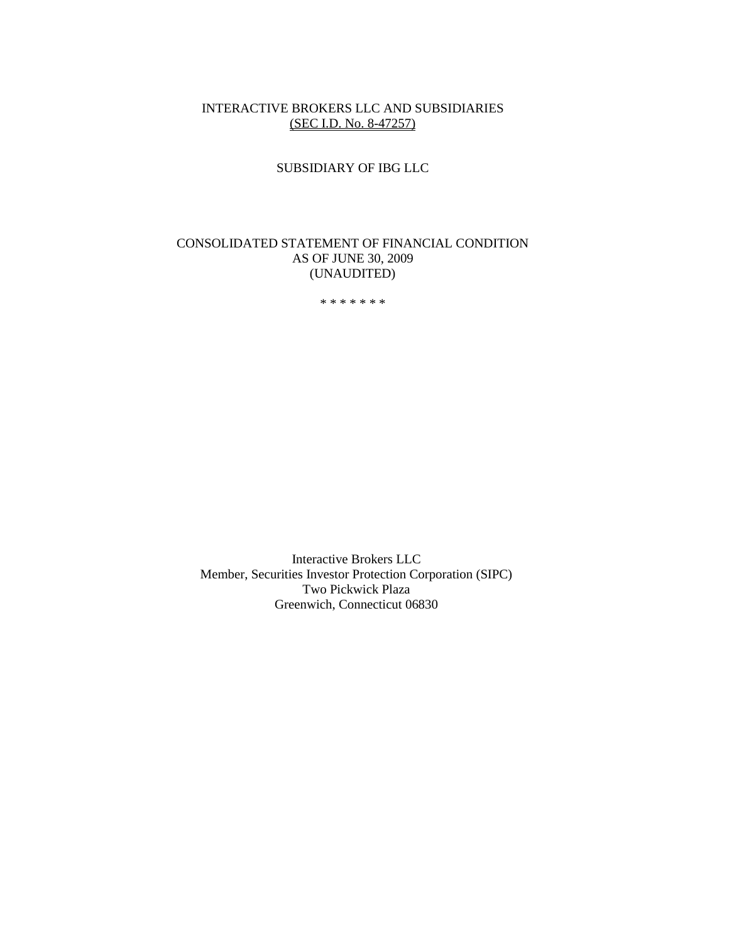#### INTERACTIVE BROKERS LLC AND SUBSIDIARIES (SEC I.D. No. 8-47257)

# SUBSIDIARY OF IBG LLC

# CONSOLIDATED STATEMENT OF FINANCIAL CONDITION AS OF JUNE 30, 2009 (UNAUDITED)

\* \* \* \* \* \* \*

Interactive Brokers LLC Member, Securities Investor Protection Corporation (SIPC) Two Pickwick Plaza Greenwich, Connecticut 06830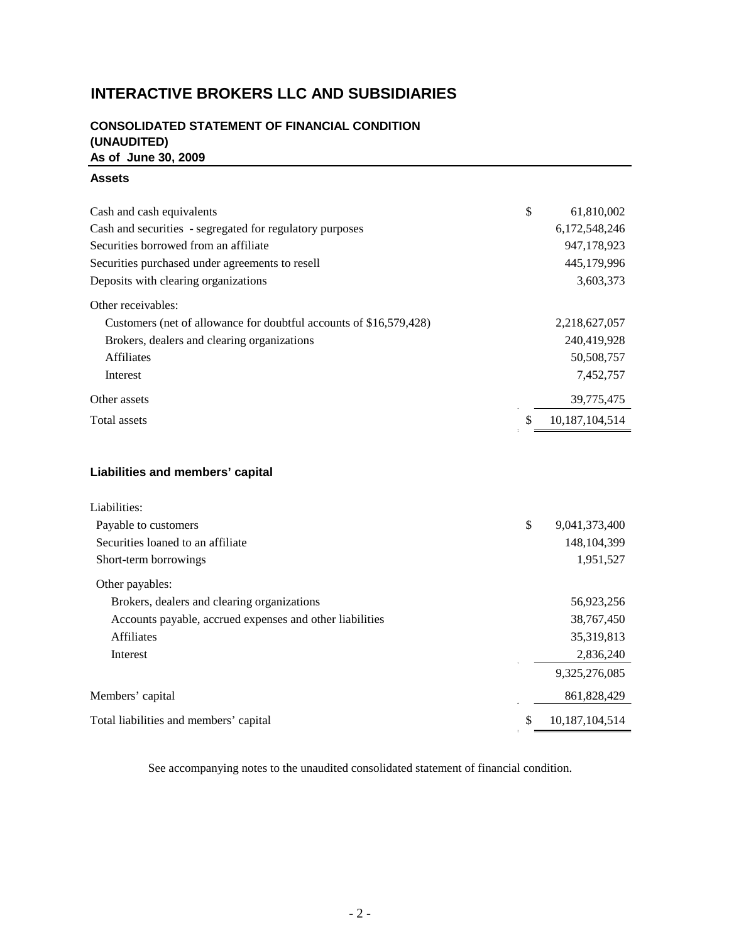# **INTERACTIVE BROKERS LLC AND SUBSIDIARIES**

# **CONSOLIDATED STATEMENT OF FINANCIAL CONDITION (UNAUDITED) As of June 30, 2009**

#### **Assets**

| Cash and cash equivalents                                          | \$ | 61,810,002     |
|--------------------------------------------------------------------|----|----------------|
| Cash and securities - segregated for regulatory purposes           |    | 6,172,548,246  |
| Securities borrowed from an affiliate                              |    | 947,178,923    |
| Securities purchased under agreements to resell                    |    | 445,179,996    |
| Deposits with clearing organizations                               |    | 3,603,373      |
| Other receivables:                                                 |    |                |
| Customers (net of allowance for doubtful accounts of \$16,579,428) |    | 2,218,627,057  |
| Brokers, dealers and clearing organizations                        |    | 240,419,928    |
| <b>Affiliates</b>                                                  |    | 50,508,757     |
| Interest                                                           |    | 7,452,757      |
| Other assets                                                       |    | 39,775,475     |
| Total assets                                                       | S. | 10.187.104.514 |
|                                                                    |    |                |

# **Liabilities and members' capital**

| Liabilities:                                             |                     |
|----------------------------------------------------------|---------------------|
| Payable to customers                                     | \$<br>9,041,373,400 |
| Securities loaned to an affiliate                        | 148, 104, 399       |
| Short-term borrowings                                    | 1,951,527           |
| Other payables:                                          |                     |
| Brokers, dealers and clearing organizations              | 56,923,256          |
| Accounts payable, accrued expenses and other liabilities | 38,767,450          |
| <b>Affiliates</b>                                        | 35, 319, 813        |
| Interest                                                 | 2,836,240           |
|                                                          | 9,325,276,085       |
| Members' capital                                         | 861,828,429         |
| Total liabilities and members' capital                   | 10,187,104,514      |

See accompanying notes to the unaudited consolidated statement of financial condition.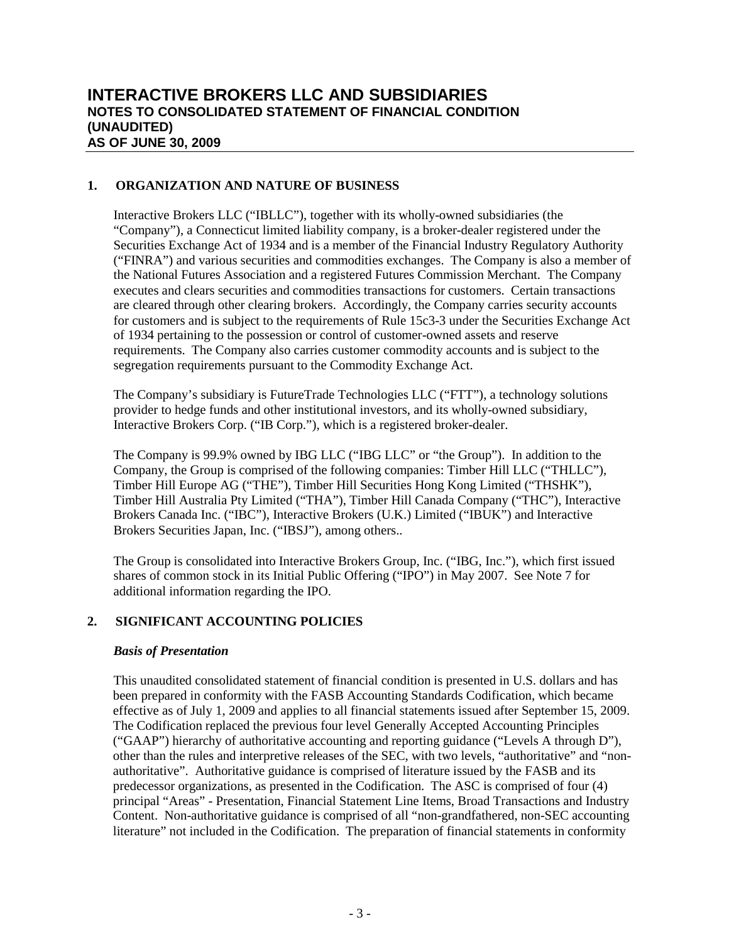# **1. ORGANIZATION AND NATURE OF BUSINESS**

Interactive Brokers LLC ("IBLLC"), together with its wholly-owned subsidiaries (the "Company"), a Connecticut limited liability company, is a broker-dealer registered under the Securities Exchange Act of 1934 and is a member of the Financial Industry Regulatory Authority ("FINRA") and various securities and commodities exchanges. The Company is also a member of the National Futures Association and a registered Futures Commission Merchant. The Company executes and clears securities and commodities transactions for customers. Certain transactions are cleared through other clearing brokers. Accordingly, the Company carries security accounts for customers and is subject to the requirements of Rule 15c3-3 under the Securities Exchange Act of 1934 pertaining to the possession or control of customer-owned assets and reserve requirements. The Company also carries customer commodity accounts and is subject to the segregation requirements pursuant to the Commodity Exchange Act.

The Company's subsidiary is FutureTrade Technologies LLC ("FTT"), a technology solutions provider to hedge funds and other institutional investors, and its wholly-owned subsidiary, Interactive Brokers Corp. ("IB Corp."), which is a registered broker-dealer.

The Company is 99.9% owned by IBG LLC ("IBG LLC" or "the Group"). In addition to the Company, the Group is comprised of the following companies: Timber Hill LLC ("THLLC"), Timber Hill Europe AG ("THE"), Timber Hill Securities Hong Kong Limited ("THSHK"), Timber Hill Australia Pty Limited ("THA"), Timber Hill Canada Company ("THC"), Interactive Brokers Canada Inc. ("IBC"), Interactive Brokers (U.K.) Limited ("IBUK") and Interactive Brokers Securities Japan, Inc. ("IBSJ"), among others..

The Group is consolidated into Interactive Brokers Group, Inc. ("IBG, Inc."), which first issued shares of common stock in its Initial Public Offering ("IPO") in May 2007. See Note 7 for additional information regarding the IPO.

# **2. SIGNIFICANT ACCOUNTING POLICIES**

#### *Basis of Presentation*

This unaudited consolidated statement of financial condition is presented in U.S. dollars and has been prepared in conformity with the FASB Accounting Standards Codification, which became effective as of July 1, 2009 and applies to all financial statements issued after September 15, 2009. The Codification replaced the previous four level Generally Accepted Accounting Principles ("GAAP") hierarchy of authoritative accounting and reporting guidance ("Levels A through D"), other than the rules and interpretive releases of the SEC, with two levels, "authoritative" and "nonauthoritative". Authoritative guidance is comprised of literature issued by the FASB and its predecessor organizations, as presented in the Codification. The ASC is comprised of four (4) principal "Areas" - Presentation, Financial Statement Line Items, Broad Transactions and Industry Content. Non-authoritative guidance is comprised of all "non-grandfathered, non-SEC accounting literature" not included in the Codification. The preparation of financial statements in conformity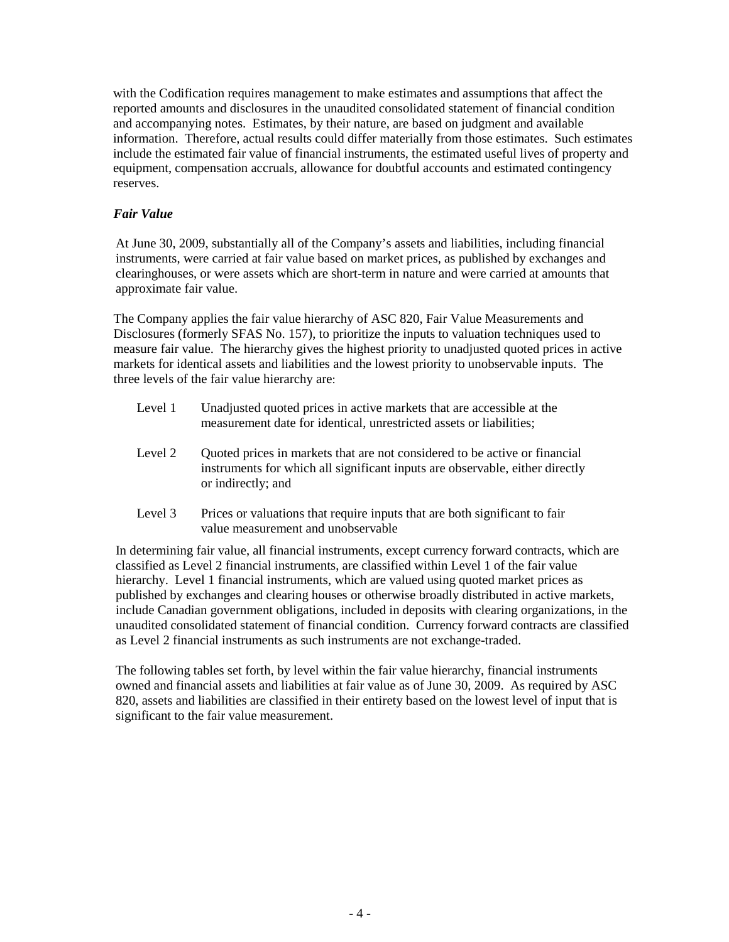with the Codification requires management to make estimates and assumptions that affect the reported amounts and disclosures in the unaudited consolidated statement of financial condition and accompanying notes. Estimates, by their nature, are based on judgment and available information. Therefore, actual results could differ materially from those estimates. Such estimates include the estimated fair value of financial instruments, the estimated useful lives of property and equipment, compensation accruals, allowance for doubtful accounts and estimated contingency reserves.

# *Fair Value*

At June 30, 2009, substantially all of the Company's assets and liabilities, including financial instruments, were carried at fair value based on market prices, as published by exchanges and clearinghouses, or were assets which are short-term in nature and were carried at amounts that approximate fair value.

The Company applies the fair value hierarchy of ASC 820, Fair Value Measurements and Disclosures (formerly SFAS No. 157), to prioritize the inputs to valuation techniques used to measure fair value. The hierarchy gives the highest priority to unadjusted quoted prices in active markets for identical assets and liabilities and the lowest priority to unobservable inputs. The three levels of the fair value hierarchy are:

- Level 1 Unadjusted quoted prices in active markets that are accessible at the measurement date for identical, unrestricted assets or liabilities;
- Level 2 Quoted prices in markets that are not considered to be active or financial instruments for which all significant inputs are observable, either directly or indirectly; and
- Level 3 Prices or valuations that require inputs that are both significant to fair value measurement and unobservable

In determining fair value, all financial instruments, except currency forward contracts, which are classified as Level 2 financial instruments, are classified within Level 1 of the fair value hierarchy. Level 1 financial instruments, which are valued using quoted market prices as published by exchanges and clearing houses or otherwise broadly distributed in active markets, include Canadian government obligations, included in deposits with clearing organizations, in the unaudited consolidated statement of financial condition. Currency forward contracts are classified as Level 2 financial instruments as such instruments are not exchange-traded.

The following tables set forth, by level within the fair value hierarchy, financial instruments owned and financial assets and liabilities at fair value as of June 30, 2009. As required by ASC 820, assets and liabilities are classified in their entirety based on the lowest level of input that is significant to the fair value measurement.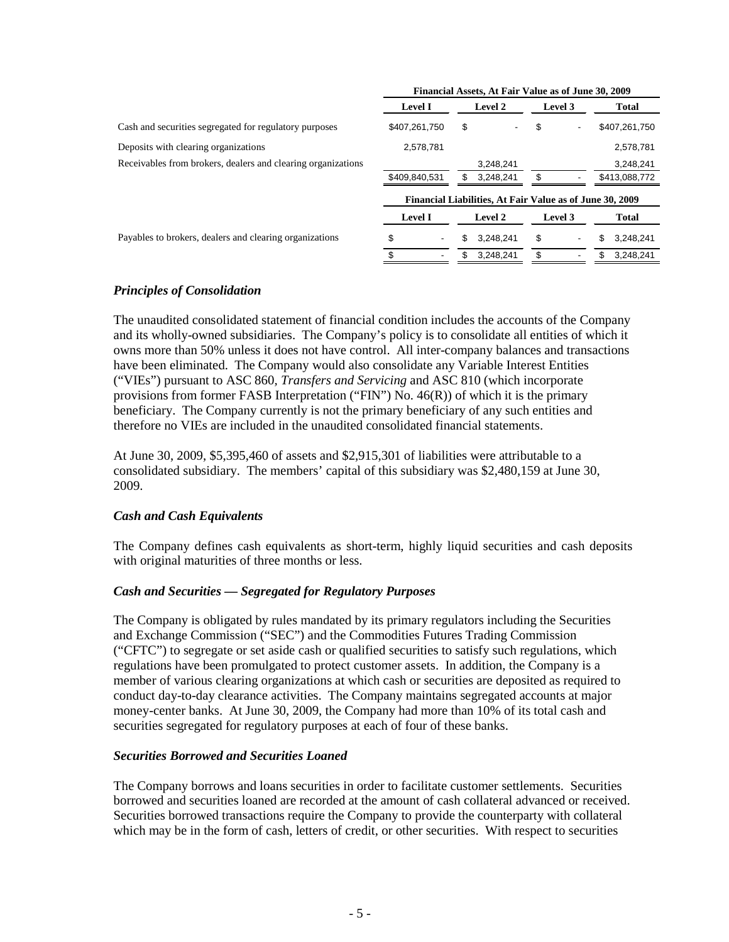|                                                              | Financial Assets, At Fair Value as of June 30, 2009 |                                                          |         |                 |
|--------------------------------------------------------------|-----------------------------------------------------|----------------------------------------------------------|---------|-----------------|
|                                                              | <b>Level I</b>                                      | Level 2                                                  | Level 3 | Total           |
| Cash and securities segregated for regulatory purposes       | \$407,261,750                                       | \$                                                       | \$<br>- | \$407,261,750   |
| Deposits with clearing organizations                         | 2,578,781                                           |                                                          |         | 2,578,781       |
| Receivables from brokers, dealers and clearing organizations |                                                     | 3,248,241                                                |         | 3,248,241       |
|                                                              | \$409,840,531                                       | 3.248.241                                                | \$      | \$413,088,772   |
|                                                              |                                                     | Financial Liabilities, At Fair Value as of June 30, 2009 |         |                 |
|                                                              | <b>Level I</b>                                      | Level 2                                                  | Level 3 | Total           |
| Payables to brokers, dealers and clearing organizations      | \$<br>$\overline{\phantom{0}}$                      | 3.248.241<br>\$                                          | \$<br>٠ | \$<br>3.248.241 |
|                                                              |                                                     | 3.248.241                                                | \$      | 3.248.241<br>\$ |

# *Principles of Consolidation*

The unaudited consolidated statement of financial condition includes the accounts of the Company and its wholly-owned subsidiaries. The Company's policy is to consolidate all entities of which it owns more than 50% unless it does not have control. All inter-company balances and transactions have been eliminated. The Company would also consolidate any Variable Interest Entities ("VIEs") pursuant to ASC 860*, Transfers and Servicing* and ASC 810 (which incorporate provisions from former FASB Interpretation ("FIN") No. 46(R)) of which it is the primary beneficiary. The Company currently is not the primary beneficiary of any such entities and therefore no VIEs are included in the unaudited consolidated financial statements.

At June 30, 2009, \$5,395,460 of assets and \$2,915,301 of liabilities were attributable to a consolidated subsidiary. The members' capital of this subsidiary was \$2,480,159 at June 30, 2009.

#### *Cash and Cash Equivalents*

The Company defines cash equivalents as short-term, highly liquid securities and cash deposits with original maturities of three months or less.

# *Cash and Securities — Segregated for Regulatory Purposes*

The Company is obligated by rules mandated by its primary regulators including the Securities and Exchange Commission ("SEC") and the Commodities Futures Trading Commission ("CFTC") to segregate or set aside cash or qualified securities to satisfy such regulations, which regulations have been promulgated to protect customer assets. In addition, the Company is a member of various clearing organizations at which cash or securities are deposited as required to conduct day-to-day clearance activities. The Company maintains segregated accounts at major money-center banks. At June 30, 2009, the Company had more than 10% of its total cash and securities segregated for regulatory purposes at each of four of these banks.

#### *Securities Borrowed and Securities Loaned*

The Company borrows and loans securities in order to facilitate customer settlements. Securities borrowed and securities loaned are recorded at the amount of cash collateral advanced or received. Securities borrowed transactions require the Company to provide the counterparty with collateral which may be in the form of cash, letters of credit, or other securities. With respect to securities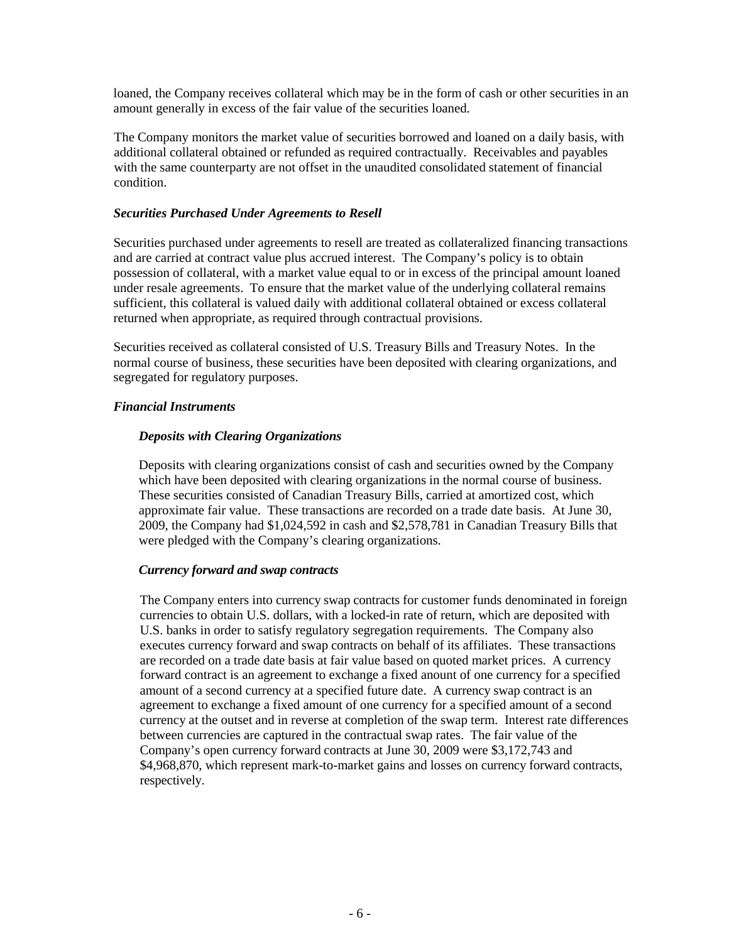loaned, the Company receives collateral which may be in the form of cash or other securities in an amount generally in excess of the fair value of the securities loaned.

The Company monitors the market value of securities borrowed and loaned on a daily basis, with additional collateral obtained or refunded as required contractually. Receivables and payables with the same counterparty are not offset in the unaudited consolidated statement of financial condition.

#### *Securities Purchased Under Agreements to Resell*

Securities purchased under agreements to resell are treated as collateralized financing transactions and are carried at contract value plus accrued interest. The Company's policy is to obtain possession of collateral, with a market value equal to or in excess of the principal amount loaned under resale agreements. To ensure that the market value of the underlying collateral remains sufficient, this collateral is valued daily with additional collateral obtained or excess collateral returned when appropriate, as required through contractual provisions.

Securities received as collateral consisted of U.S. Treasury Bills and Treasury Notes. In the normal course of business, these securities have been deposited with clearing organizations, and segregated for regulatory purposes.

# *Financial Instruments*

# *Deposits with Clearing Organizations*

Deposits with clearing organizations consist of cash and securities owned by the Company which have been deposited with clearing organizations in the normal course of business. These securities consisted of Canadian Treasury Bills, carried at amortized cost, which approximate fair value. These transactions are recorded on a trade date basis. At June 30, 2009, the Company had \$1,024,592 in cash and \$2,578,781 in Canadian Treasury Bills that were pledged with the Company's clearing organizations.

#### *Currency forward and swap contracts*

The Company enters into currency swap contracts for customer funds denominated in foreign currencies to obtain U.S. dollars, with a locked-in rate of return, which are deposited with U.S. banks in order to satisfy regulatory segregation requirements. The Company also executes currency forward and swap contracts on behalf of its affiliates. These transactions are recorded on a trade date basis at fair value based on quoted market prices. A currency forward contract is an agreement to exchange a fixed anount of one currency for a specified amount of a second currency at a specified future date. A currency swap contract is an agreement to exchange a fixed amount of one currency for a specified amount of a second currency at the outset and in reverse at completion of the swap term. Interest rate differences between currencies are captured in the contractual swap rates. The fair value of the Company's open currency forward contracts at June 30, 2009 were \$3,172,743 and \$4,968,870, which represent mark-to-market gains and losses on currency forward contracts, respectively.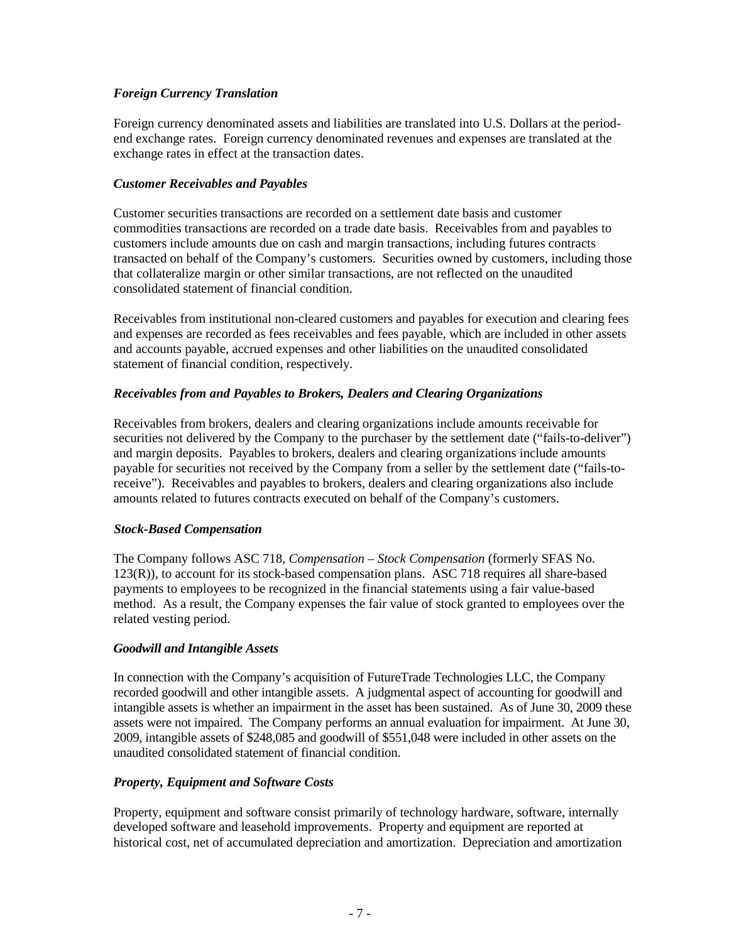# *Foreign Currency Translation*

Foreign currency denominated assets and liabilities are translated into U.S. Dollars at the periodend exchange rates. Foreign currency denominated revenues and expenses are translated at the exchange rates in effect at the transaction dates.

## *Customer Receivables and Payables*

Customer securities transactions are recorded on a settlement date basis and customer commodities transactions are recorded on a trade date basis. Receivables from and payables to customers include amounts due on cash and margin transactions, including futures contracts transacted on behalf of the Company's customers. Securities owned by customers, including those that collateralize margin or other similar transactions, are not reflected on the unaudited consolidated statement of financial condition.

Receivables from institutional non-cleared customers and payables for execution and clearing fees and expenses are recorded as fees receivables and fees payable, which are included in other assets and accounts payable, accrued expenses and other liabilities on the unaudited consolidated statement of financial condition, respectively.

# *Receivables from and Payables to Brokers, Dealers and Clearing Organizations*

Receivables from brokers, dealers and clearing organizations include amounts receivable for securities not delivered by the Company to the purchaser by the settlement date ("fails-to-deliver") and margin deposits. Payables to brokers, dealers and clearing organizations include amounts payable for securities not received by the Company from a seller by the settlement date ("fails-toreceive"). Receivables and payables to brokers, dealers and clearing organizations also include amounts related to futures contracts executed on behalf of the Company's customers.

#### *Stock-Based Compensation*

The Company follows ASC 718, *Compensation – Stock Compensation* (formerly SFAS No. 123(R)), to account for its stock-based compensation plans. ASC 718 requires all share-based payments to employees to be recognized in the financial statements using a fair value-based method. As a result, the Company expenses the fair value of stock granted to employees over the related vesting period.

#### *Goodwill and Intangible Assets*

In connection with the Company's acquisition of FutureTrade Technologies LLC, the Company recorded goodwill and other intangible assets. A judgmental aspect of accounting for goodwill and intangible assets is whether an impairment in the asset has been sustained. As of June 30, 2009 these assets were not impaired. The Company performs an annual evaluation for impairment. At June 30, 2009, intangible assets of \$248,085 and goodwill of \$551,048 were included in other assets on the unaudited consolidated statement of financial condition.

# *Property, Equipment and Software Costs*

Property, equipment and software consist primarily of technology hardware, software, internally developed software and leasehold improvements. Property and equipment are reported at historical cost, net of accumulated depreciation and amortization. Depreciation and amortization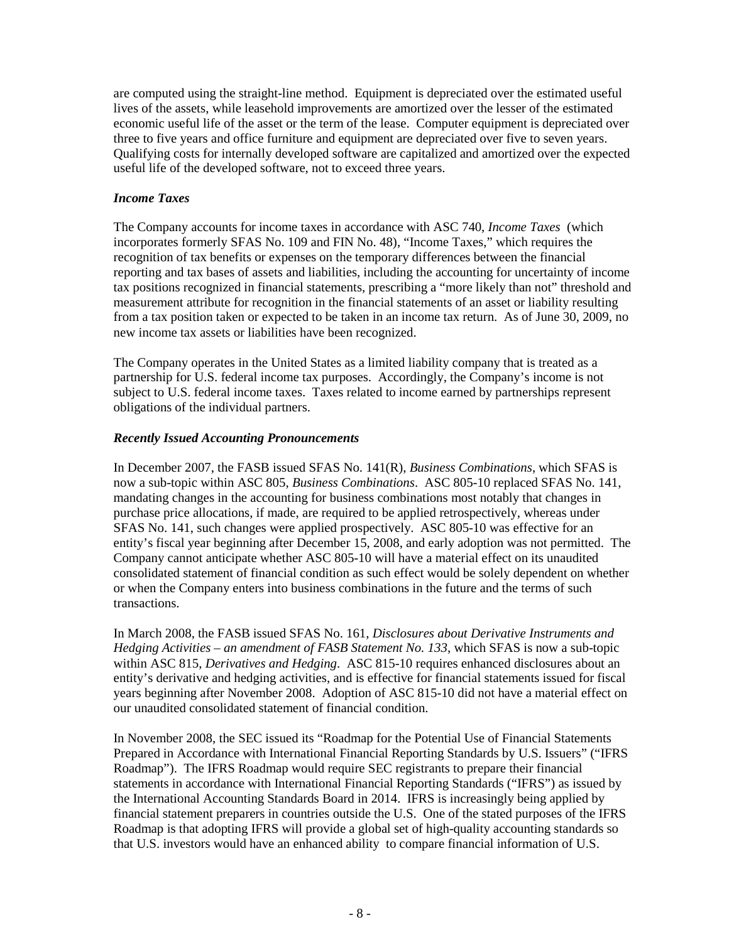are computed using the straight-line method. Equipment is depreciated over the estimated useful lives of the assets, while leasehold improvements are amortized over the lesser of the estimated economic useful life of the asset or the term of the lease. Computer equipment is depreciated over three to five years and office furniture and equipment are depreciated over five to seven years. Qualifying costs for internally developed software are capitalized and amortized over the expected useful life of the developed software, not to exceed three years.

#### *Income Taxes*

The Company accounts for income taxes in accordance with ASC 740, *Income Taxes* (which incorporates formerly SFAS No. 109 and FIN No. 48), "Income Taxes," which requires the recognition of tax benefits or expenses on the temporary differences between the financial reporting and tax bases of assets and liabilities, including the accounting for uncertainty of income tax positions recognized in financial statements, prescribing a "more likely than not" threshold and measurement attribute for recognition in the financial statements of an asset or liability resulting from a tax position taken or expected to be taken in an income tax return. As of June 30, 2009, no new income tax assets or liabilities have been recognized.

The Company operates in the United States as a limited liability company that is treated as a partnership for U.S. federal income tax purposes. Accordingly, the Company's income is not subject to U.S. federal income taxes. Taxes related to income earned by partnerships represent obligations of the individual partners.

#### *Recently Issued Accounting Pronouncements*

In December 2007, the FASB issued SFAS No. 141(R), *Business Combinations*, which SFAS is now a sub-topic within ASC 805, *Business Combinations*. ASC 805-10 replaced SFAS No. 141, mandating changes in the accounting for business combinations most notably that changes in purchase price allocations, if made, are required to be applied retrospectively, whereas under SFAS No. 141, such changes were applied prospectively. ASC 805-10 was effective for an entity's fiscal year beginning after December 15, 2008, and early adoption was not permitted. The Company cannot anticipate whether ASC 805-10 will have a material effect on its unaudited consolidated statement of financial condition as such effect would be solely dependent on whether or when the Company enters into business combinations in the future and the terms of such transactions.

In March 2008, the FASB issued SFAS No. 161, *Disclosures about Derivative Instruments and Hedging Activities – an amendment of FASB Statement No. 133*, which SFAS is now a sub-topic within ASC 815, *Derivatives and Hedging*. ASC 815-10 requires enhanced disclosures about an entity's derivative and hedging activities, and is effective for financial statements issued for fiscal years beginning after November 2008. Adoption of ASC 815-10 did not have a material effect on our unaudited consolidated statement of financial condition.

In November 2008, the SEC issued its "Roadmap for the Potential Use of Financial Statements Prepared in Accordance with International Financial Reporting Standards by U.S. Issuers" ("IFRS Roadmap"). The IFRS Roadmap would require SEC registrants to prepare their financial statements in accordance with International Financial Reporting Standards ("IFRS") as issued by the International Accounting Standards Board in 2014. IFRS is increasingly being applied by financial statement preparers in countries outside the U.S. One of the stated purposes of the IFRS Roadmap is that adopting IFRS will provide a global set of high-quality accounting standards so that U.S. investors would have an enhanced ability to compare financial information of U.S.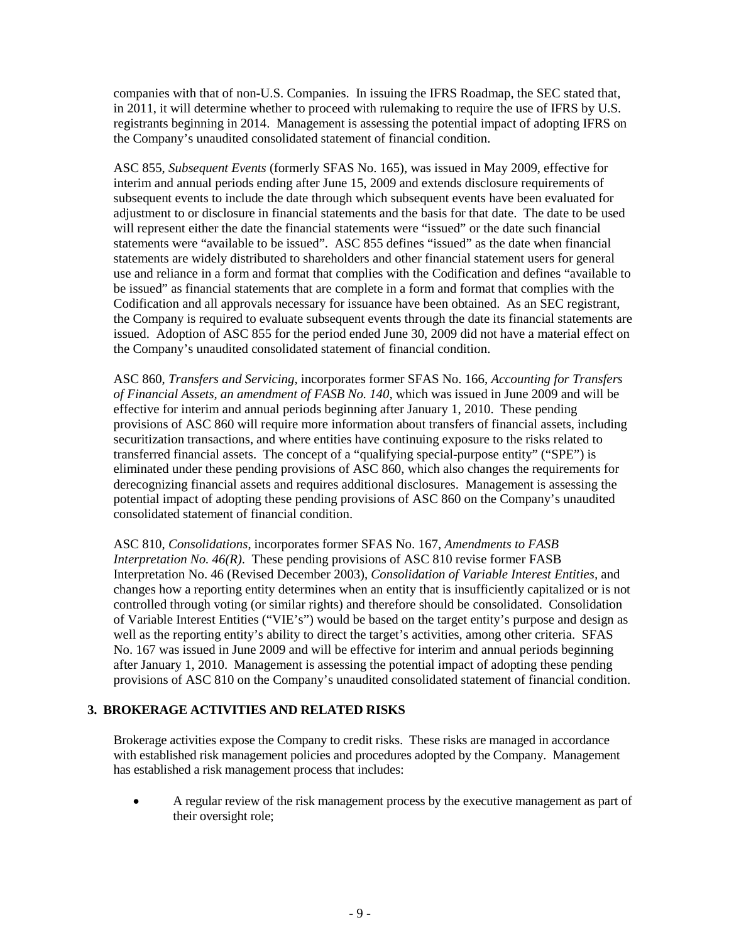companies with that of non-U.S. Companies. In issuing the IFRS Roadmap, the SEC stated that, in 2011, it will determine whether to proceed with rulemaking to require the use of IFRS by U.S. registrants beginning in 2014. Management is assessing the potential impact of adopting IFRS on the Company's unaudited consolidated statement of financial condition.

ASC 855, *Subsequent Events* (formerly SFAS No. 165), was issued in May 2009, effective for interim and annual periods ending after June 15, 2009 and extends disclosure requirements of subsequent events to include the date through which subsequent events have been evaluated for adjustment to or disclosure in financial statements and the basis for that date. The date to be used will represent either the date the financial statements were "issued" or the date such financial statements were "available to be issued". ASC 855 defines "issued" as the date when financial statements are widely distributed to shareholders and other financial statement users for general use and reliance in a form and format that complies with the Codification and defines "available to be issued" as financial statements that are complete in a form and format that complies with the Codification and all approvals necessary for issuance have been obtained. As an SEC registrant, the Company is required to evaluate subsequent events through the date its financial statements are issued. Adoption of ASC 855 for the period ended June 30, 2009 did not have a material effect on the Company's unaudited consolidated statement of financial condition.

ASC 860, *Transfers and Servicing*, incorporates former SFAS No. 166, *Accounting for Transfers of Financial Assets, an amendment of FASB No. 140*, which was issued in June 2009 and will be effective for interim and annual periods beginning after January 1, 2010. These pending provisions of ASC 860 will require more information about transfers of financial assets, including securitization transactions, and where entities have continuing exposure to the risks related to transferred financial assets. The concept of a "qualifying special-purpose entity" ("SPE") is eliminated under these pending provisions of ASC 860, which also changes the requirements for derecognizing financial assets and requires additional disclosures. Management is assessing the potential impact of adopting these pending provisions of ASC 860 on the Company's unaudited consolidated statement of financial condition.

ASC 810, *Consolidations*, incorporates former SFAS No. 167, *Amendments to FASB Interpretation No. 46(R)*. These pending provisions of ASC 810 revise former FASB Interpretation No. 46 (Revised December 2003), *Consolidation of Variable Interest Entities,* and changes how a reporting entity determines when an entity that is insufficiently capitalized or is not controlled through voting (or similar rights) and therefore should be consolidated. Consolidation of Variable Interest Entities ("VIE's") would be based on the target entity's purpose and design as well as the reporting entity's ability to direct the target's activities, among other criteria. SFAS No. 167 was issued in June 2009 and will be effective for interim and annual periods beginning after January 1, 2010. Management is assessing the potential impact of adopting these pending provisions of ASC 810 on the Company's unaudited consolidated statement of financial condition.

# **3. BROKERAGE ACTIVITIES AND RELATED RISKS**

Brokerage activities expose the Company to credit risks. These risks are managed in accordance with established risk management policies and procedures adopted by the Company. Management has established a risk management process that includes:

• A regular review of the risk management process by the executive management as part of their oversight role;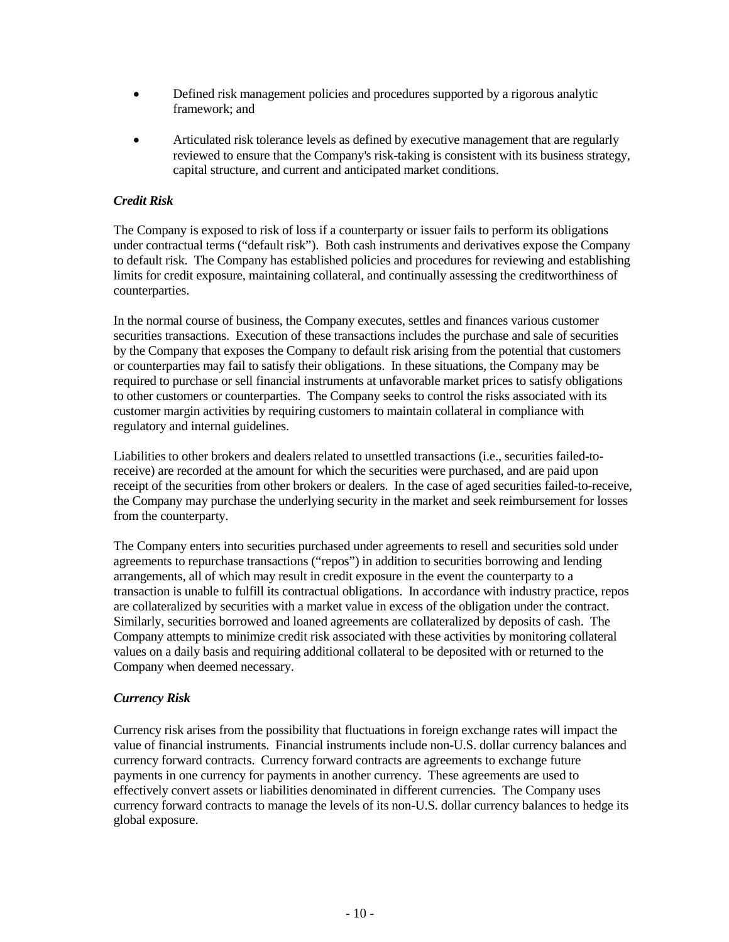- Defined risk management policies and procedures supported by a rigorous analytic framework; and
- Articulated risk tolerance levels as defined by executive management that are regularly reviewed to ensure that the Company's risk-taking is consistent with its business strategy, capital structure, and current and anticipated market conditions.

## *Credit Risk*

The Company is exposed to risk of loss if a counterparty or issuer fails to perform its obligations under contractual terms ("default risk"). Both cash instruments and derivatives expose the Company to default risk. The Company has established policies and procedures for reviewing and establishing limits for credit exposure, maintaining collateral, and continually assessing the creditworthiness of counterparties.

In the normal course of business, the Company executes, settles and finances various customer securities transactions. Execution of these transactions includes the purchase and sale of securities by the Company that exposes the Company to default risk arising from the potential that customers or counterparties may fail to satisfy their obligations. In these situations, the Company may be required to purchase or sell financial instruments at unfavorable market prices to satisfy obligations to other customers or counterparties. The Company seeks to control the risks associated with its customer margin activities by requiring customers to maintain collateral in compliance with regulatory and internal guidelines.

Liabilities to other brokers and dealers related to unsettled transactions (i.e., securities failed-toreceive) are recorded at the amount for which the securities were purchased, and are paid upon receipt of the securities from other brokers or dealers. In the case of aged securities failed-to-receive, the Company may purchase the underlying security in the market and seek reimbursement for losses from the counterparty.

The Company enters into securities purchased under agreements to resell and securities sold under agreements to repurchase transactions ("repos") in addition to securities borrowing and lending arrangements, all of which may result in credit exposure in the event the counterparty to a transaction is unable to fulfill its contractual obligations. In accordance with industry practice, repos are collateralized by securities with a market value in excess of the obligation under the contract. Similarly, securities borrowed and loaned agreements are collateralized by deposits of cash. The Company attempts to minimize credit risk associated with these activities by monitoring collateral values on a daily basis and requiring additional collateral to be deposited with or returned to the Company when deemed necessary.

# *Currency Risk*

Currency risk arises from the possibility that fluctuations in foreign exchange rates will impact the value of financial instruments. Financial instruments include non-U.S. dollar currency balances and currency forward contracts. Currency forward contracts are agreements to exchange future payments in one currency for payments in another currency. These agreements are used to effectively convert assets or liabilities denominated in different currencies. The Company uses currency forward contracts to manage the levels of its non-U.S. dollar currency balances to hedge its global exposure.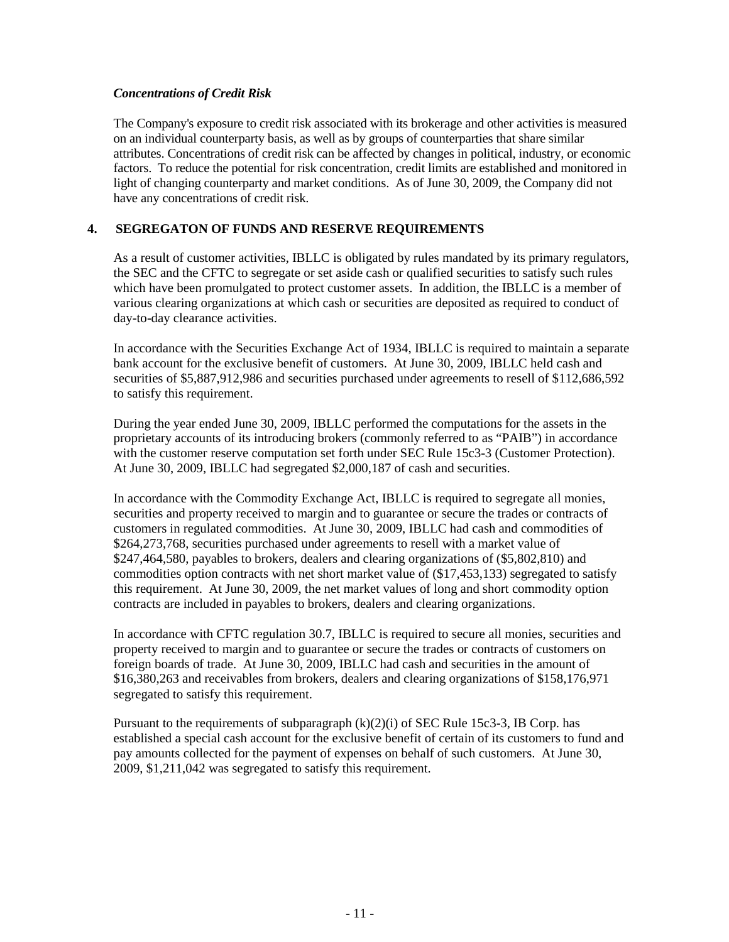#### *Concentrations of Credit Risk*

The Company's exposure to credit risk associated with its brokerage and other activities is measured on an individual counterparty basis, as well as by groups of counterparties that share similar attributes. Concentrations of credit risk can be affected by changes in political, industry, or economic factors. To reduce the potential for risk concentration, credit limits are established and monitored in light of changing counterparty and market conditions. As of June 30, 2009, the Company did not have any concentrations of credit risk.

# **4. SEGREGATON OF FUNDS AND RESERVE REQUIREMENTS**

As a result of customer activities, IBLLC is obligated by rules mandated by its primary regulators, the SEC and the CFTC to segregate or set aside cash or qualified securities to satisfy such rules which have been promulgated to protect customer assets. In addition, the IBLLC is a member of various clearing organizations at which cash or securities are deposited as required to conduct of day-to-day clearance activities.

In accordance with the Securities Exchange Act of 1934, IBLLC is required to maintain a separate bank account for the exclusive benefit of customers. At June 30, 2009, IBLLC held cash and securities of \$5,887,912,986 and securities purchased under agreements to resell of \$112,686,592 to satisfy this requirement.

During the year ended June 30, 2009, IBLLC performed the computations for the assets in the proprietary accounts of its introducing brokers (commonly referred to as "PAIB") in accordance with the customer reserve computation set forth under SEC Rule 15c3-3 (Customer Protection). At June 30, 2009, IBLLC had segregated \$2,000,187 of cash and securities.

In accordance with the Commodity Exchange Act, IBLLC is required to segregate all monies, securities and property received to margin and to guarantee or secure the trades or contracts of customers in regulated commodities. At June 30, 2009, IBLLC had cash and commodities of \$264,273,768, securities purchased under agreements to resell with a market value of \$247,464,580, payables to brokers, dealers and clearing organizations of (\$5,802,810) and commodities option contracts with net short market value of (\$17,453,133) segregated to satisfy this requirement. At June 30, 2009, the net market values of long and short commodity option contracts are included in payables to brokers, dealers and clearing organizations.

In accordance with CFTC regulation 30.7, IBLLC is required to secure all monies, securities and property received to margin and to guarantee or secure the trades or contracts of customers on foreign boards of trade. At June 30, 2009, IBLLC had cash and securities in the amount of \$16,380,263 and receivables from brokers, dealers and clearing organizations of \$158,176,971 segregated to satisfy this requirement.

Pursuant to the requirements of subparagraph  $(k)(2)(i)$  of SEC Rule 15c3-3, IB Corp. has established a special cash account for the exclusive benefit of certain of its customers to fund and pay amounts collected for the payment of expenses on behalf of such customers. At June 30, 2009, \$1,211,042 was segregated to satisfy this requirement.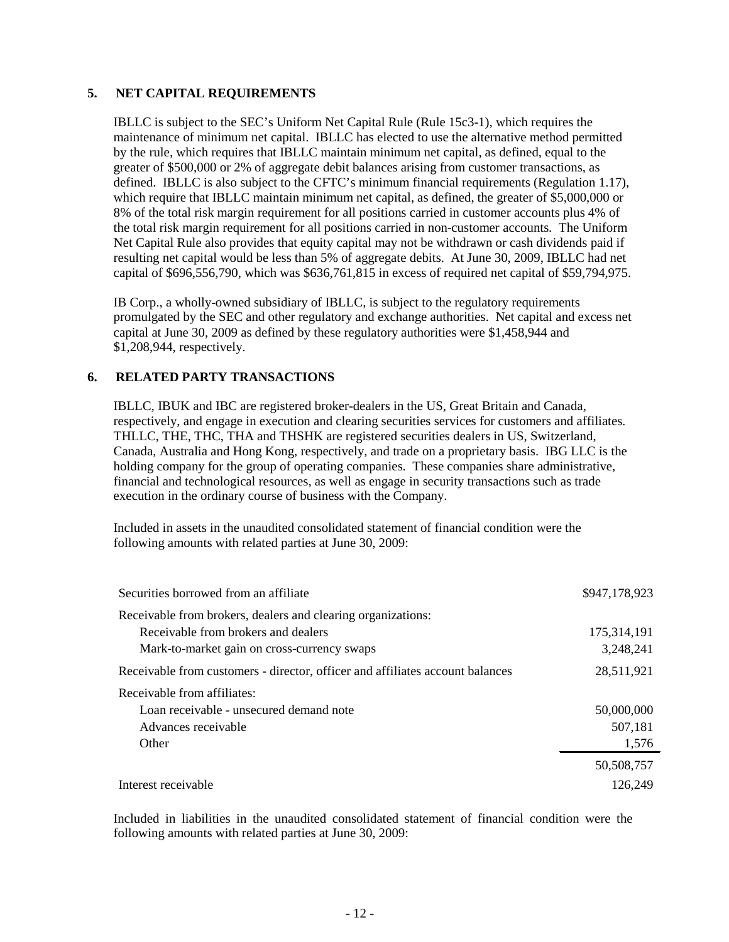#### **5. NET CAPITAL REQUIREMENTS**

IBLLC is subject to the SEC's Uniform Net Capital Rule (Rule 15c3-1), which requires the maintenance of minimum net capital. IBLLC has elected to use the alternative method permitted by the rule, which requires that IBLLC maintain minimum net capital, as defined, equal to the greater of \$500,000 or 2% of aggregate debit balances arising from customer transactions, as defined. IBLLC is also subject to the CFTC's minimum financial requirements (Regulation 1.17), which require that IBLLC maintain minimum net capital, as defined, the greater of \$5,000,000 or 8% of the total risk margin requirement for all positions carried in customer accounts plus 4% of the total risk margin requirement for all positions carried in non-customer accounts. The Uniform Net Capital Rule also provides that equity capital may not be withdrawn or cash dividends paid if resulting net capital would be less than 5% of aggregate debits. At June 30, 2009, IBLLC had net capital of \$696,556,790, which was \$636,761,815 in excess of required net capital of \$59,794,975.

IB Corp., a wholly-owned subsidiary of IBLLC, is subject to the regulatory requirements promulgated by the SEC and other regulatory and exchange authorities. Net capital and excess net capital at June 30, 2009 as defined by these regulatory authorities were \$1,458,944 and \$1,208,944, respectively.

#### **6. RELATED PARTY TRANSACTIONS**

IBLLC, IBUK and IBC are registered broker-dealers in the US, Great Britain and Canada, respectively, and engage in execution and clearing securities services for customers and affiliates. THLLC, THE, THC, THA and THSHK are registered securities dealers in US, Switzerland, Canada, Australia and Hong Kong, respectively, and trade on a proprietary basis. IBG LLC is the holding company for the group of operating companies. These companies share administrative, financial and technological resources, as well as engage in security transactions such as trade execution in the ordinary course of business with the Company.

Included in assets in the unaudited consolidated statement of financial condition were the following amounts with related parties at June 30, 2009:

| Securities borrowed from an affiliate                                         | \$947,178,923 |
|-------------------------------------------------------------------------------|---------------|
| Receivable from brokers, dealers and clearing organizations:                  |               |
| Receivable from brokers and dealers                                           | 175,314,191   |
| Mark-to-market gain on cross-currency swaps                                   | 3,248,241     |
| Receivable from customers - director, officer and affiliates account balances | 28,511,921    |
| Receivable from affiliates:                                                   |               |
| Loan receivable - unsecured demand note                                       | 50,000,000    |
| Advances receivable                                                           | 507,181       |
| Other                                                                         | 1,576         |
|                                                                               | 50,508,757    |
| Interest receivable                                                           | 126.249       |

Included in liabilities in the unaudited consolidated statement of financial condition were the following amounts with related parties at June 30, 2009: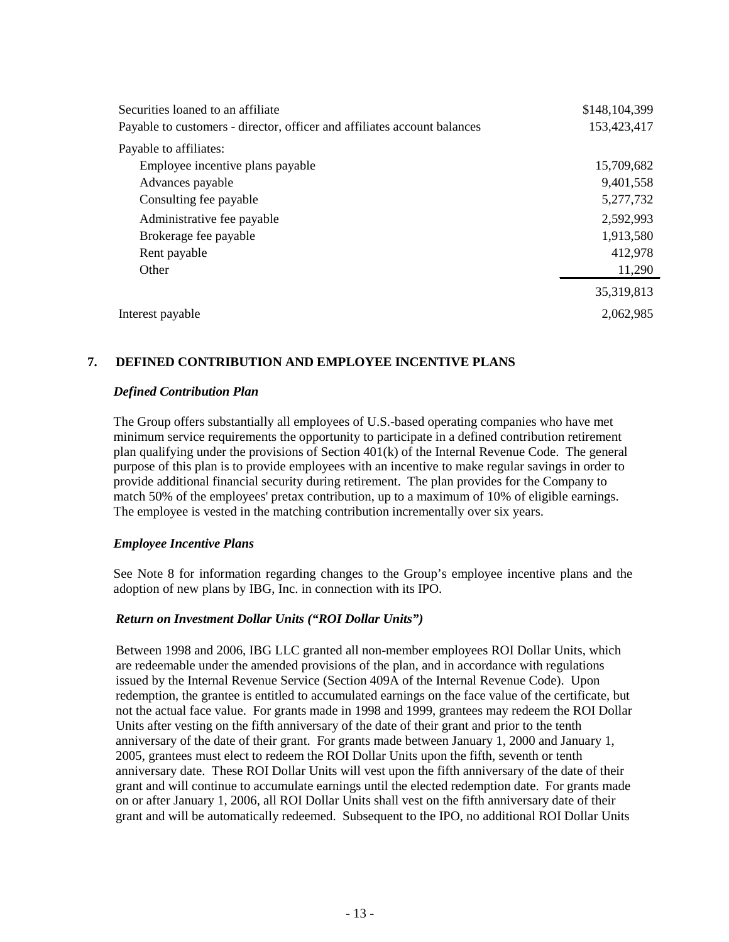| Securities loaned to an affiliate                                        | \$148,104,399 |
|--------------------------------------------------------------------------|---------------|
| Payable to customers - director, officer and affiliates account balances | 153,423,417   |
| Payable to affiliates:                                                   |               |
| Employee incentive plans payable                                         | 15,709,682    |
| Advances payable                                                         | 9,401,558     |
| Consulting fee payable                                                   | 5,277,732     |
| Administrative fee payable                                               | 2,592,993     |
| Brokerage fee payable                                                    | 1,913,580     |
| Rent payable                                                             | 412,978       |
| Other                                                                    | 11,290        |
|                                                                          | 35,319,813    |
| Interest payable                                                         | 2.062.985     |

# **7. DEFINED CONTRIBUTION AND EMPLOYEE INCENTIVE PLANS**

#### *Defined Contribution Plan*

The Group offers substantially all employees of U.S.-based operating companies who have met minimum service requirements the opportunity to participate in a defined contribution retirement plan qualifying under the provisions of Section 401(k) of the Internal Revenue Code. The general purpose of this plan is to provide employees with an incentive to make regular savings in order to provide additional financial security during retirement. The plan provides for the Company to match 50% of the employees' pretax contribution, up to a maximum of 10% of eligible earnings. The employee is vested in the matching contribution incrementally over six years.

#### *Employee Incentive Plans*

See Note 8 for information regarding changes to the Group's employee incentive plans and the adoption of new plans by IBG, Inc. in connection with its IPO.

#### *Return on Investment Dollar Units ("ROI Dollar Units")*

Between 1998 and 2006, IBG LLC granted all non-member employees ROI Dollar Units, which are redeemable under the amended provisions of the plan, and in accordance with regulations issued by the Internal Revenue Service (Section 409A of the Internal Revenue Code). Upon redemption, the grantee is entitled to accumulated earnings on the face value of the certificate, but not the actual face value. For grants made in 1998 and 1999, grantees may redeem the ROI Dollar Units after vesting on the fifth anniversary of the date of their grant and prior to the tenth anniversary of the date of their grant. For grants made between January 1, 2000 and January 1, 2005, grantees must elect to redeem the ROI Dollar Units upon the fifth, seventh or tenth anniversary date. These ROI Dollar Units will vest upon the fifth anniversary of the date of their grant and will continue to accumulate earnings until the elected redemption date. For grants made on or after January 1, 2006, all ROI Dollar Units shall vest on the fifth anniversary date of their grant and will be automatically redeemed. Subsequent to the IPO, no additional ROI Dollar Units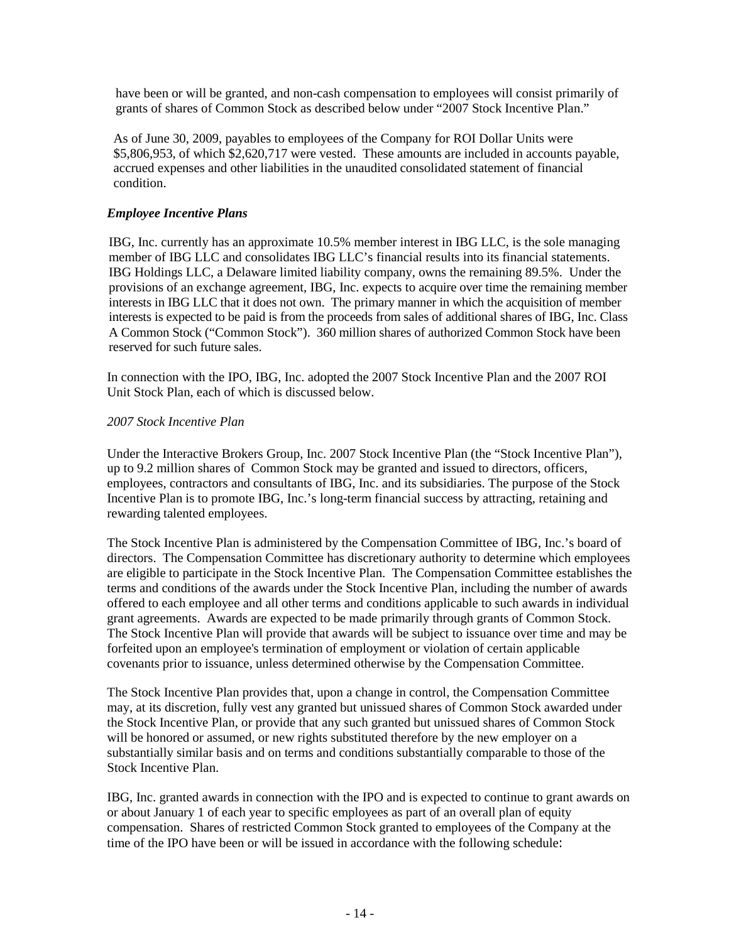have been or will be granted, and non-cash compensation to employees will consist primarily of grants of shares of Common Stock as described below under "2007 Stock Incentive Plan."

As of June 30, 2009, payables to employees of the Company for ROI Dollar Units were \$5,806,953, of which \$2,620,717 were vested. These amounts are included in accounts payable, accrued expenses and other liabilities in the unaudited consolidated statement of financial condition.

## *Employee Incentive Plans*

IBG, Inc. currently has an approximate 10.5% member interest in IBG LLC, is the sole managing member of IBG LLC and consolidates IBG LLC's financial results into its financial statements. IBG Holdings LLC, a Delaware limited liability company, owns the remaining 89.5%. Under the provisions of an exchange agreement, IBG, Inc. expects to acquire over time the remaining member interests in IBG LLC that it does not own. The primary manner in which the acquisition of member interests is expected to be paid is from the proceeds from sales of additional shares of IBG, Inc. Class A Common Stock ("Common Stock"). 360 million shares of authorized Common Stock have been reserved for such future sales.

In connection with the IPO, IBG, Inc. adopted the 2007 Stock Incentive Plan and the 2007 ROI Unit Stock Plan, each of which is discussed below.

# *2007 Stock Incentive Plan*

Under the Interactive Brokers Group, Inc. 2007 Stock Incentive Plan (the "Stock Incentive Plan"), up to 9.2 million shares of Common Stock may be granted and issued to directors, officers, employees, contractors and consultants of IBG, Inc. and its subsidiaries. The purpose of the Stock Incentive Plan is to promote IBG, Inc.'s long-term financial success by attracting, retaining and rewarding talented employees.

The Stock Incentive Plan is administered by the Compensation Committee of IBG, Inc.'s board of directors. The Compensation Committee has discretionary authority to determine which employees are eligible to participate in the Stock Incentive Plan. The Compensation Committee establishes the terms and conditions of the awards under the Stock Incentive Plan, including the number of awards offered to each employee and all other terms and conditions applicable to such awards in individual grant agreements. Awards are expected to be made primarily through grants of Common Stock. The Stock Incentive Plan will provide that awards will be subject to issuance over time and may be forfeited upon an employee's termination of employment or violation of certain applicable covenants prior to issuance, unless determined otherwise by the Compensation Committee.

The Stock Incentive Plan provides that, upon a change in control, the Compensation Committee may, at its discretion, fully vest any granted but unissued shares of Common Stock awarded under the Stock Incentive Plan, or provide that any such granted but unissued shares of Common Stock will be honored or assumed, or new rights substituted therefore by the new employer on a substantially similar basis and on terms and conditions substantially comparable to those of the Stock Incentive Plan.

IBG, Inc. granted awards in connection with the IPO and is expected to continue to grant awards on or about January 1 of each year to specific employees as part of an overall plan of equity compensation. Shares of restricted Common Stock granted to employees of the Company at the time of the IPO have been or will be issued in accordance with the following schedule: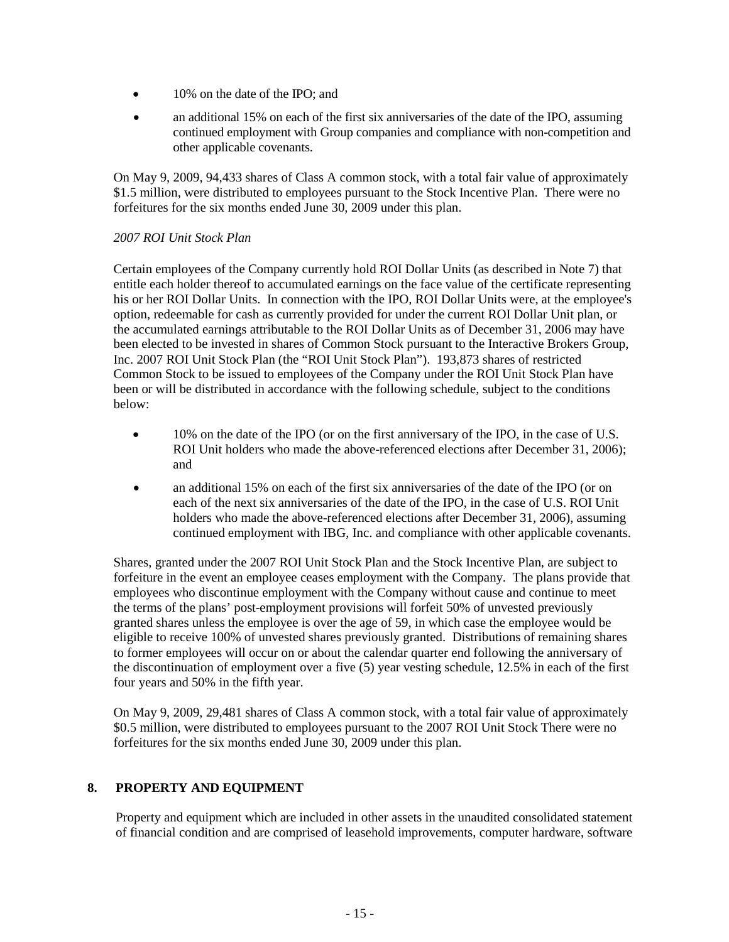- 10% on the date of the IPO; and
- an additional 15% on each of the first six anniversaries of the date of the IPO, assuming continued employment with Group companies and compliance with non-competition and other applicable covenants.

On May 9, 2009, 94,433 shares of Class A common stock, with a total fair value of approximately \$1.5 million, were distributed to employees pursuant to the Stock Incentive Plan. There were no forfeitures for the six months ended June 30, 2009 under this plan.

#### *2007 ROI Unit Stock Plan*

Certain employees of the Company currently hold ROI Dollar Units (as described in Note 7) that entitle each holder thereof to accumulated earnings on the face value of the certificate representing his or her ROI Dollar Units. In connection with the IPO, ROI Dollar Units were, at the employee's option, redeemable for cash as currently provided for under the current ROI Dollar Unit plan, or the accumulated earnings attributable to the ROI Dollar Units as of December 31, 2006 may have been elected to be invested in shares of Common Stock pursuant to the Interactive Brokers Group, Inc. 2007 ROI Unit Stock Plan (the "ROI Unit Stock Plan"). 193,873 shares of restricted Common Stock to be issued to employees of the Company under the ROI Unit Stock Plan have been or will be distributed in accordance with the following schedule, subject to the conditions below:

- 10% on the date of the IPO (or on the first anniversary of the IPO, in the case of U.S. ROI Unit holders who made the above-referenced elections after December 31, 2006); and
- an additional 15% on each of the first six anniversaries of the date of the IPO (or on each of the next six anniversaries of the date of the IPO, in the case of U.S. ROI Unit holders who made the above-referenced elections after December 31, 2006), assuming continued employment with IBG, Inc. and compliance with other applicable covenants.

Shares, granted under the 2007 ROI Unit Stock Plan and the Stock Incentive Plan, are subject to forfeiture in the event an employee ceases employment with the Company. The plans provide that employees who discontinue employment with the Company without cause and continue to meet the terms of the plans' post-employment provisions will forfeit 50% of unvested previously granted shares unless the employee is over the age of 59, in which case the employee would be eligible to receive 100% of unvested shares previously granted. Distributions of remaining shares to former employees will occur on or about the calendar quarter end following the anniversary of the discontinuation of employment over a five (5) year vesting schedule, 12.5% in each of the first four years and 50% in the fifth year.

On May 9, 2009, 29,481 shares of Class A common stock, with a total fair value of approximately \$0.5 million, were distributed to employees pursuant to the 2007 ROI Unit Stock There were no forfeitures for the six months ended June 30, 2009 under this plan.

# **8. PROPERTY AND EQUIPMENT**

Property and equipment which are included in other assets in the unaudited consolidated statement of financial condition and are comprised of leasehold improvements, computer hardware, software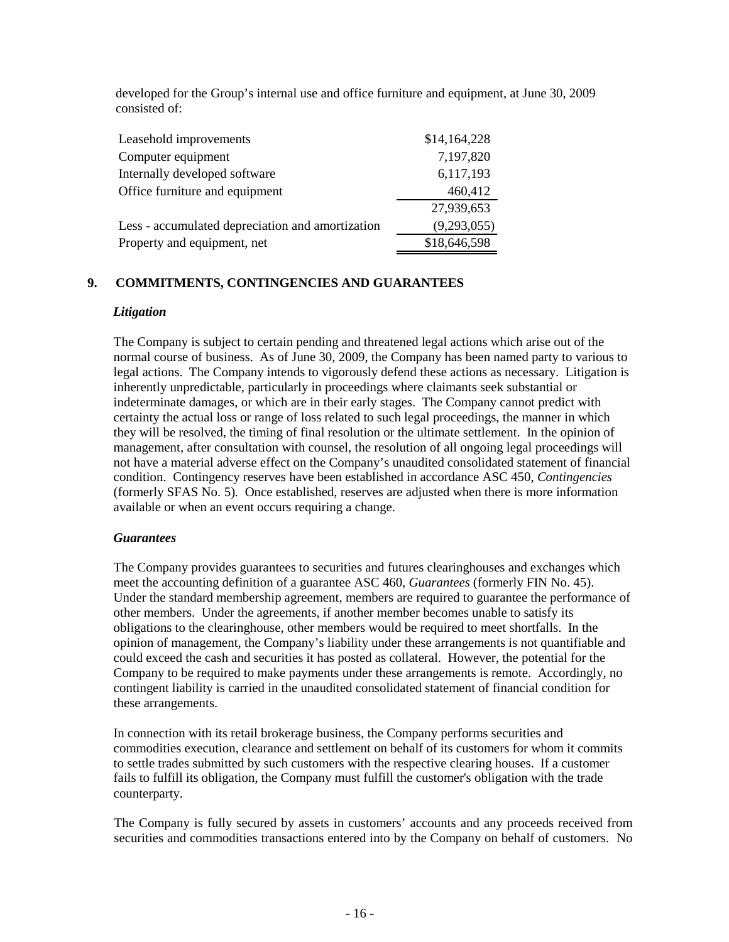developed for the Group's internal use and office furniture and equipment, at June 30, 2009 consisted of:

| Leasehold improvements                           | \$14,164,228 |
|--------------------------------------------------|--------------|
| Computer equipment                               | 7,197,820    |
| Internally developed software                    | 6,117,193    |
| Office furniture and equipment                   | 460,412      |
|                                                  | 27,939,653   |
| Less - accumulated depreciation and amortization | (9,293,055)  |
| Property and equipment, net                      | \$18,646,598 |

# **9. COMMITMENTS, CONTINGENCIES AND GUARANTEES**

#### *Litigation*

The Company is subject to certain pending and threatened legal actions which arise out of the normal course of business. As of June 30, 2009, the Company has been named party to various to legal actions. The Company intends to vigorously defend these actions as necessary. Litigation is inherently unpredictable, particularly in proceedings where claimants seek substantial or indeterminate damages, or which are in their early stages. The Company cannot predict with certainty the actual loss or range of loss related to such legal proceedings, the manner in which they will be resolved, the timing of final resolution or the ultimate settlement. In the opinion of management, after consultation with counsel, the resolution of all ongoing legal proceedings will not have a material adverse effect on the Company's unaudited consolidated statement of financial condition. Contingency reserves have been established in accordance ASC 450, *Contingencies* (formerly SFAS No. 5)*.* Once established, reserves are adjusted when there is more information available or when an event occurs requiring a change.

#### *Guarantees*

The Company provides guarantees to securities and futures clearinghouses and exchanges which meet the accounting definition of a guarantee ASC 460, *Guarantees* (formerly FIN No. 45). Under the standard membership agreement, members are required to guarantee the performance of other members. Under the agreements, if another member becomes unable to satisfy its obligations to the clearinghouse, other members would be required to meet shortfalls. In the opinion of management, the Company's liability under these arrangements is not quantifiable and could exceed the cash and securities it has posted as collateral. However, the potential for the Company to be required to make payments under these arrangements is remote. Accordingly, no contingent liability is carried in the unaudited consolidated statement of financial condition for these arrangements.

In connection with its retail brokerage business, the Company performs securities and commodities execution, clearance and settlement on behalf of its customers for whom it commits to settle trades submitted by such customers with the respective clearing houses. If a customer fails to fulfill its obligation, the Company must fulfill the customer's obligation with the trade counterparty.

The Company is fully secured by assets in customers' accounts and any proceeds received from securities and commodities transactions entered into by the Company on behalf of customers. No